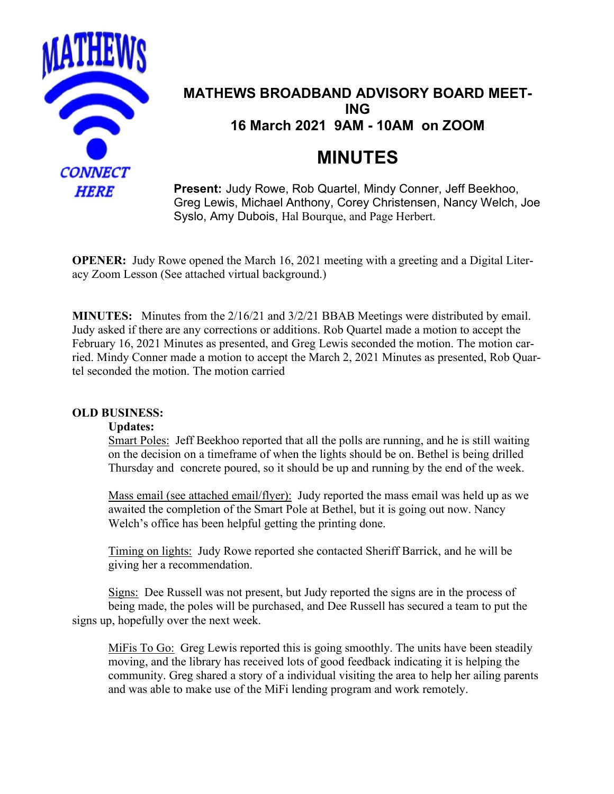

# **MATHEWS BROADBAND ADVISORY BOARD MEET-ING 16 March 2021 9AM - 10AM on ZOOM**

# **MINUTES**

**Present:** Judy Rowe, Rob Quartel, Mindy Conner, Jeff Beekhoo, Greg Lewis, Michael Anthony, Corey Christensen, Nancy Welch, Joe Syslo, Amy Dubois, Hal Bourque, and Page Herbert.

**OPENER:** Judy Rowe opened the March 16, 2021 meeting with a greeting and a Digital Literacy Zoom Lesson (See attached virtual background.)

**MINUTES:** Minutes from the 2/16/21 and 3/2/21 BBAB Meetings were distributed by email. Judy asked if there are any corrections or additions. Rob Quartel made a motion to accept the February 16, 2021 Minutes as presented, and Greg Lewis seconded the motion. The motion carried. Mindy Conner made a motion to accept the March 2, 2021 Minutes as presented, Rob Quartel seconded the motion. The motion carried

## **OLD BUSINESS:**

## **Updates:**

Smart Poles: Jeff Beekhoo reported that all the polls are running, and he is still waiting on the decision on a timeframe of when the lights should be on. Bethel is being drilled Thursday and concrete poured, so it should be up and running by the end of the week.

Mass email (see attached email/flyer): Judy reported the mass email was held up as we awaited the completion of the Smart Pole at Bethel, but it is going out now. Nancy Welch's office has been helpful getting the printing done.

Timing on lights: Judy Rowe reported she contacted Sheriff Barrick, and he will be giving her a recommendation.

 Signs: Dee Russell was not present, but Judy reported the signs are in the process of being made, the poles will be purchased, and Dee Russell has secured a team to put the signs up, hopefully over the next week.

MiFis To Go: Greg Lewis reported this is going smoothly. The units have been steadily moving, and the library has received lots of good feedback indicating it is helping the community. Greg shared a story of a individual visiting the area to help her ailing parents and was able to make use of the MiFi lending program and work remotely.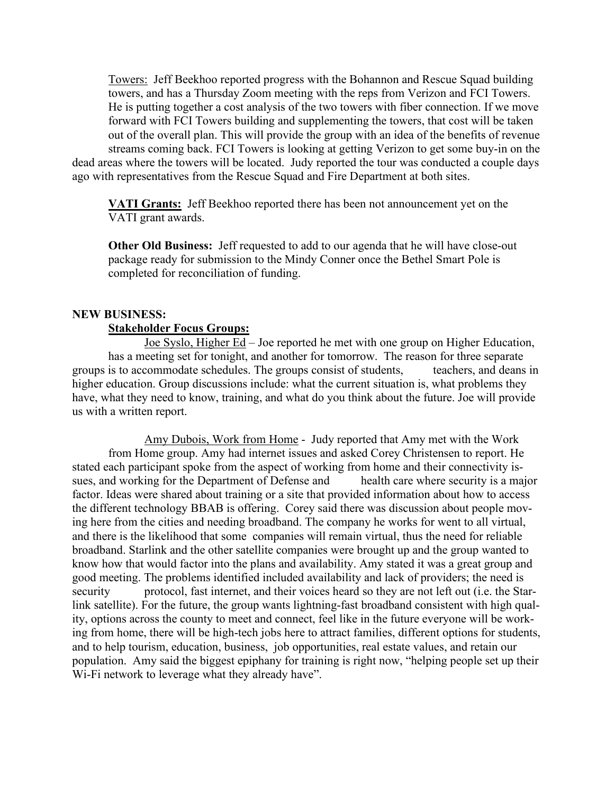Towers: Jeff Beekhoo reported progress with the Bohannon and Rescue Squad building towers, and has a Thursday Zoom meeting with the reps from Verizon and FCI Towers. He is putting together a cost analysis of the two towers with fiber connection. If we move forward with FCI Towers building and supplementing the towers, that cost will be taken out of the overall plan. This will provide the group with an idea of the benefits of revenue streams coming back. FCI Towers is looking at getting Verizon to get some buy-in on the dead areas where the towers will be located. Judy reported the tour was conducted a couple days ago with representatives from the Rescue Squad and Fire Department at both sites.

**VATI Grants:** Jeff Beekhoo reported there has been not announcement yet on the VATI grant awards.

**Other Old Business:** Jeff requested to add to our agenda that he will have close-out package ready for submission to the Mindy Conner once the Bethel Smart Pole is completed for reconciliation of funding.

#### **NEW BUSINESS:**

#### **Stakeholder Focus Groups:**

 Joe Syslo, Higher Ed – Joe reported he met with one group on Higher Education, has a meeting set for tonight, and another for tomorrow. The reason for three separate groups is to accommodate schedules. The groups consist of students, teachers, and deans in higher education. Group discussions include: what the current situation is, what problems they have, what they need to know, training, and what do you think about the future. Joe will provide us with a written report.

 Amy Dubois, Work from Home - Judy reported that Amy met with the Work from Home group. Amy had internet issues and asked Corey Christensen to report. He stated each participant spoke from the aspect of working from home and their connectivity issues, and working for the Department of Defense and health care where security is a major factor. Ideas were shared about training or a site that provided information about how to access the different technology BBAB is offering. Corey said there was discussion about people moving here from the cities and needing broadband. The company he works for went to all virtual, and there is the likelihood that some companies will remain virtual, thus the need for reliable broadband. Starlink and the other satellite companies were brought up and the group wanted to know how that would factor into the plans and availability. Amy stated it was a great group and good meeting. The problems identified included availability and lack of providers; the need is security protocol, fast internet, and their voices heard so they are not left out (i.e. the Starlink satellite). For the future, the group wants lightning-fast broadband consistent with high quality, options across the county to meet and connect, feel like in the future everyone will be working from home, there will be high-tech jobs here to attract families, different options for students, and to help tourism, education, business, job opportunities, real estate values, and retain our population. Amy said the biggest epiphany for training is right now, "helping people set up their W<sub>i</sub>-F<sub>i</sub> network to leverage what they already have".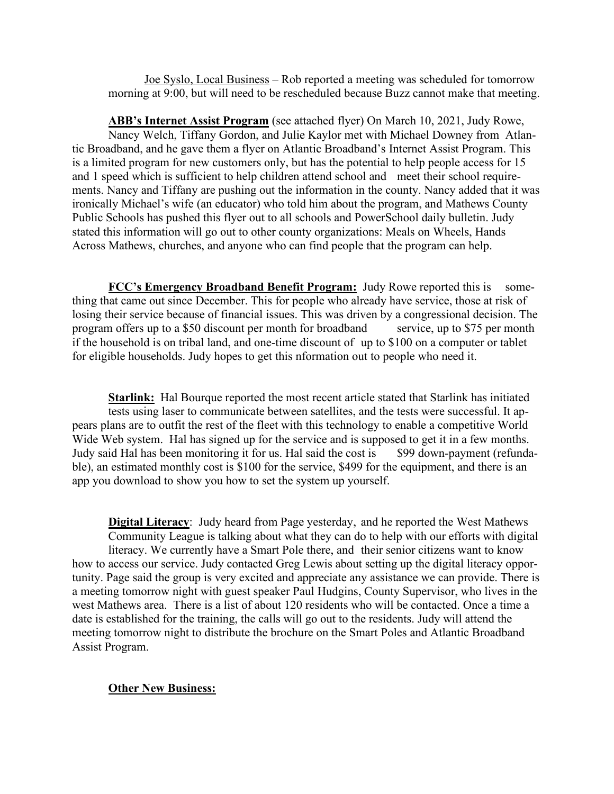Joe Syslo, Local Business – Rob reported a meeting was scheduled for tomorrow morning at 9:00, but will need to be rescheduled because Buzz cannot make that meeting.

**ABB's Internet Assist Program** (see attached flyer) On March 10, 2021, Judy Rowe, Nancy Welch, Tiffany Gordon, and Julie Kaylor met with Michael Downey from Atlantic Broadband, and he gave them a flyer on Atlantic Broadband's Internet Assist Program. This is a limited program for new customers only, but has the potential to help people access for 15 and 1 speed which is sufficient to help children attend school and meet their school requirements. Nancy and Tiffany are pushing out the information in the county. Nancy added that it was ironically Michael's wife (an educator) who told him about the program, and Mathews County Public Schools has pushed this flyer out to all schools and PowerSchool daily bulletin. Judy stated this information will go out to other county organizations: Meals on Wheels, Hands Across Mathews, churches, and anyone who can find people that the program can help.

**FCC's Emergency Broadband Benefit Program:** Judy Rowe reported this is something that came out since December. This for people who already have service, those at risk of losing their service because of financial issues. This was driven by a congressional decision. The program offers up to a \$50 discount per month for broadband service, up to \$75 per month if the household is on tribal land, and one-time discount of up to \$100 on a computer or tablet for eligible households. Judy hopes to get this nformation out to people who need it.

**Starlink:** Hal Bourque reported the most recent article stated that Starlink has initiated tests using laser to communicate between satellites, and the tests were successful. It appears plans are to outfit the rest of the fleet with this technology to enable a competitive World Wide Web system. Hal has signed up for the service and is supposed to get it in a few months. Judy said Hal has been monitoring it for us. Hal said the cost is \$99 down-payment (refundable), an estimated monthly cost is \$100 for the service, \$499 for the equipment, and there is an app you download to show you how to set the system up yourself.

**Digital Literacy**: Judy heard from Page yesterday, and he reported the West Mathews Community League is talking about what they can do to help with our efforts with digital literacy. We currently have a Smart Pole there, and their senior citizens want to know how to access our service. Judy contacted Greg Lewis about setting up the digital literacy opportunity. Page said the group is very excited and appreciate any assistance we can provide. There is a meeting tomorrow night with guest speaker Paul Hudgins, County Supervisor, who lives in the west Mathews area. There is a list of about 120 residents who will be contacted. Once a time a date is established for the training, the calls will go out to the residents. Judy will attend the meeting tomorrow night to distribute the brochure on the Smart Poles and Atlantic Broadband Assist Program.

#### **Other New Business:**